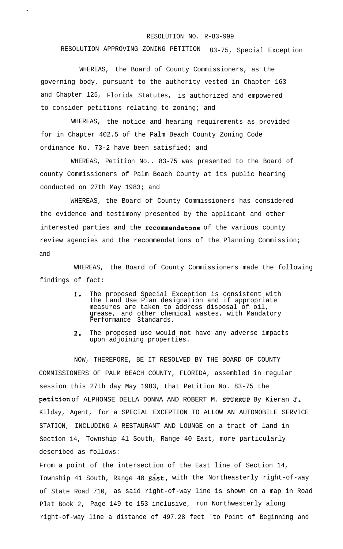## RESOLUTION NO. R-83-999

## RESOLUTION APPROVING ZONING PETITION 83-75, Special Exception

WHEREAS, the Board of County Commissioners, as the governing body, pursuant to the authority vested in Chapter 163 and Chapter 125, Florida Statutes, is authorized and empowered to consider petitions relating to zoning; and

.

WHEREAS, the notice and hearing requirements as provided for in Chapter 402.5 of the Palm Beach County Zoning Code ordinance No. 73-2 have been satisfied; and

WHEREAS, Petition No.. 83-75 was presented to the Board of county Commissioners of Palm Beach County at its public hearing conducted on 27th May 1983; and

WHEREAS, the Board of County Commissioners has considered the evidence and testimony presented by the applicant and other interested parties and the recommendatons of the various county , review agencies and the recommendations of the Planning Commission; and

WHEREAS, the Board of County Commissioners made the following findings of fact:

- **I,** The proposed Special Exception is consistent with the Land Use Plan designation and if appropriate measures are taken to address disposal of oil, grease, and other chemical wastes, with Mandatory Performance Standards.
- $2.$ The proposed use would not have any adverse impacts upon adjoining properties.

NOW, THEREFORE, BE IT RESOLVED BY THE BOARD OF COUNTY COMMISSIONERS OF PALM BEACH COUNTY, FLORIDA, assembled in regular session this 27th day May 1983, that Petition No. 83-75 the petition of ALPHONSE DELLA DONNA AND ROBERT M. STURRUP By Kieran J. Kilday, Agent, for a SPECIAL EXCEPTION TO ALLOW AN AUTOMOBILE SERVICE STATION, INCLUDING A RESTAURANT AND LOUNGE on a tract of land in Section 14, Township 41 South, Range 40 East, more particularly described as follows:

From a point of the intersection of the East line of Section 14, Township 41 South, Range 40 East, with the Northeasterly right-of-way of State Road 710, as said right-of-way line is shown on a map in Road Plat Book 2, Page 149 to 153 inclusive, run Northwesterly along right-of-way line a distance of 497.28 feet 'to Point of Beginning and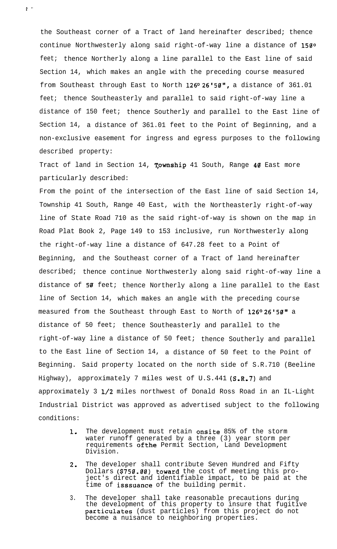the Southeast corner of a Tract of land hereinafter described; thence continue Northwesterly along said right-of-way line a distance of 150° feet; thence Northerly along a line parallel to the East line of said Section 14, which makes an angle with the preceding course measured from Southeast through East to North 126°26'50", a distance of 361.01 feet; thence Southeasterly and parallel to said right-of-way line a distance of 150 feet; thence Southerly and parallel to the East line of Section 14, a distance of 361.01 feet to the Point of Beginning, and a non-exclusive easement for ingress and egress purposes to the following described property:

. ,. .

Tract of land in Section 14, Township 41 South, Range 40 East more particularly described:

From the point of the intersection of the East line of said Section 14, Township 41 South, Range 40 East, with the Northeasterly right-of-way line of State Road 710 as the said right-of-way is shown on the map in Road Plat Book 2, Page 149 to 153 inclusive, run Northwesterly along the right-of-way line a distance of 647.28 feet to a Point of Beginning, and the Southeast corner of a Tract of land hereinafter described; thence continue Northwesterly along said right-of-way line a distance of 50 feet; thence Northerly along a line parallel to the East line of Section 14, which makes an angle with the preceding course measured from the Southeast through East to North of 126°26'50" a distance of 50 feet; thence Southeasterly and parallel to the right-of-way line a distance of 50 feet; thence Southerly and parallel to the East line of Section 14, a distance of 50 feet to the Point of Beginning. Said property located on the north side of S.R.710 (Beeline Highway), approximately 7 miles west of  $U.S.A41 (S.R.7)$  and approximately 3 l/2 miles northwest of Donald Ross Road in an IL-Light Industrial District was approved as advertised subject to the following conditions:

- **1.** The development must retain **onsite** 85% of the storm water runoff generated by a three (3) year storm per requirements ofthe Permit Section, Land Development Division.
- 2. The developer shall contribute Seven Hundred and Fifty Dollars (\$750.00) toward the cost of meeting this project's direct and identifiable impact, to be paid at the time of isssuance of the building permit.
- 3. The developer shall take reasonable precautions during the development of this property to insure that fugitive particulates (dust particles) from this project do not become a nuisance to neighboring properties.